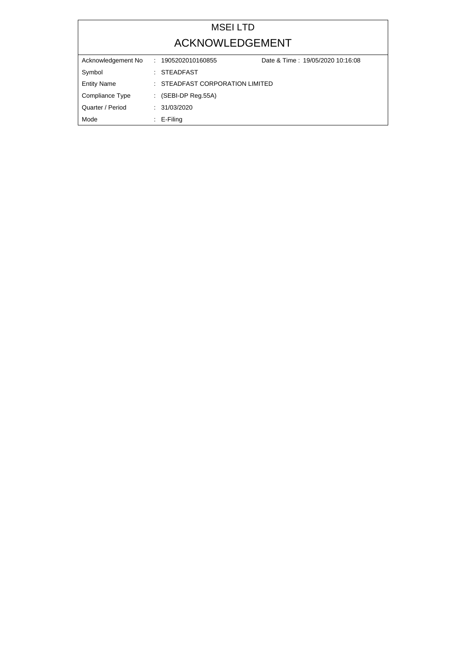## MSEI LTD ACKNOWLEDGEMENT

| Acknowledgement No | Date & Time: 19/05/2020 10:16:08<br>: 1905202010160855 |  |
|--------------------|--------------------------------------------------------|--|
| Symbol             | : STEADFAST                                            |  |
| <b>Entity Name</b> | $\pm$ STEADFAST CORPORATION LIMITED                    |  |
| Compliance Type    | $\therefore$ (SEBI-DP Reg.55A)                         |  |
| Quarter / Period   | : 31/03/2020                                           |  |
| Mode               | $\therefore$ E-Filing                                  |  |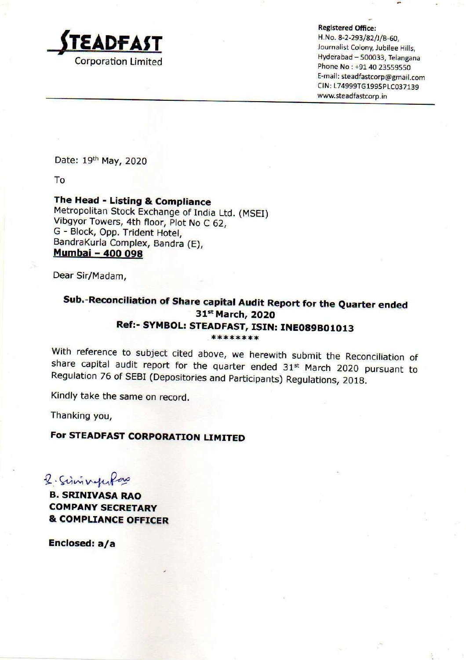

Registered Office:

H.No, 8-2-293/82/]/B-60,  $\blacksquare$ Hyderabad — 500033, Telangana Corporation Limited Phone No : +91 40 <sup>23559550</sup> E-mail: steadfastcorp@gmail.com CIN: L74999TG1995PLC037139 www.steadfastcorp.in

Date: 19th May, 2020

To

#### The Head - Listing & Compliance

Metropolitan Stock Exchange of India Ltd. (MSEI)<br>Vibgyor Towers, 4th floor, Plot No C 62,<br>G - Block, Opp. Trident Hotel,<br>BandraKurla Complex, Bandra (E),<br>**Mumbai - 400 098** 

Dear Sir/Madam,

# Sub.-Reconciliation of Share capital Audit Report for the Quarter ended 31<sup>st</sup> March, 2020 Ref:- SYMBOL: STEADFAST, ISIN: INE089B01013

With reference to subject cited above, we herewith submit the Reconciliation of share capital audit report for the quarter ended 31<sup>st</sup> March 2020 pursuant to Regulation 76 of SEBI (Depositories and Participants) Regulatio

Kindly take the same on record.

Thanking you,

### For STEADFAST CORPORATION LIMITED

2. Simmyworkano

B. SRINIVASA RAO COMPANY SECRETARY & COMPLIANCE OFFICER

Enclosed: a/a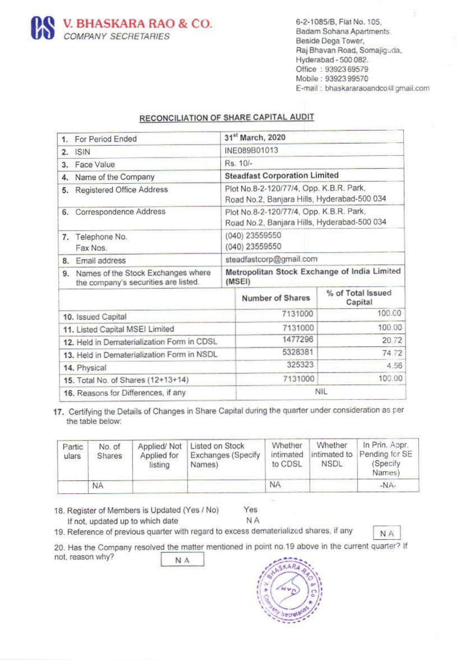

Raj Bhavan Road, Somajiguda, Hyderabad -500 082. Office : 9392369579 Mobile : 93923 99570 E-mail : bhaskararaoandco@ gmail.com

### RECONCILIATION OF SHARE CAPITAL AUDIT

|                                                              | <b>COMPANY SECRETARIES</b> | V. BHASKARA RAO & CO.                                                                               |                                                                                        |                                  |                                      | 6-2-1085/B, Flat No. 105,<br>Badam Sohana Apartments<br>Beside Dega Tower,<br>Raj Bhavan Road, Somajiguda,<br>Hyderabad - 500 082.<br>Office: 93923 69579<br>Mobile: 93923 99570 | E-mail: bhaskararaoandco@gmai                          |  |
|--------------------------------------------------------------|----------------------------|-----------------------------------------------------------------------------------------------------|----------------------------------------------------------------------------------------|----------------------------------|--------------------------------------|----------------------------------------------------------------------------------------------------------------------------------------------------------------------------------|--------------------------------------------------------|--|
|                                                              |                            | RECONCILIATION OF SHARE CAPITAL AUDIT                                                               |                                                                                        |                                  |                                      |                                                                                                                                                                                  |                                                        |  |
|                                                              | 1. For Period Ended        |                                                                                                     |                                                                                        | 31st March, 2020<br>INE089B01013 |                                      |                                                                                                                                                                                  |                                                        |  |
| $2.$ ISIN<br>3. Face Value                                   |                            |                                                                                                     |                                                                                        | Rs. 10/-                         |                                      |                                                                                                                                                                                  |                                                        |  |
|                                                              |                            |                                                                                                     |                                                                                        |                                  | <b>Steadfast Corporation Limited</b> |                                                                                                                                                                                  |                                                        |  |
| Name of the Company<br>4.<br>Registered Office Address<br>5. |                            |                                                                                                     | Plot No.8-2-120/77/4, Opp. K.B.R. Park,<br>Road No.2, Banjara Hills, Hyderabad-500 034 |                                  |                                      |                                                                                                                                                                                  |                                                        |  |
| 6. Correspondence Address                                    |                            |                                                                                                     | Plot No.8-2-120/77/4, Opp. K.B.R. Park,<br>Road No.2, Banjara Hills, Hyderabad-500 034 |                                  |                                      |                                                                                                                                                                                  |                                                        |  |
| 7. Telephone No.<br>Fax Nos.                                 |                            |                                                                                                     | (040) 23559550<br>(040) 23559550<br>steadfastcorp@gmail.com                            |                                  |                                      |                                                                                                                                                                                  |                                                        |  |
| 9.                                                           | 8. Email address           | Names of the Stock Exchanges where<br>the company's securities are listed.                          |                                                                                        | (MSEI)                           |                                      | Metropolitan Stock Exchange of India Limited                                                                                                                                     |                                                        |  |
|                                                              |                            |                                                                                                     |                                                                                        |                                  | Number of Shares                     |                                                                                                                                                                                  | % of Total Issued<br>Capital                           |  |
|                                                              | 10. Issued Capital         |                                                                                                     |                                                                                        |                                  | 7131000                              |                                                                                                                                                                                  | 100.00                                                 |  |
|                                                              |                            | 11. Listed Capital MSEI Limited                                                                     |                                                                                        |                                  | 7131000                              |                                                                                                                                                                                  | 100.00                                                 |  |
|                                                              |                            | 12. Held in Dematerialization Form in CDSL                                                          |                                                                                        |                                  | 1477296                              |                                                                                                                                                                                  | 20.72                                                  |  |
| 13. Held in Dematerialization Form in NSDL                   |                            |                                                                                                     |                                                                                        | 5328381<br>74.72                 |                                      |                                                                                                                                                                                  |                                                        |  |
| 14. Physical                                                 |                            |                                                                                                     |                                                                                        | 325323<br>4.56                   |                                      |                                                                                                                                                                                  |                                                        |  |
| 15. Total No. of Shares (12+13+14)                           |                            |                                                                                                     | 100.00<br>7131000                                                                      |                                  |                                      |                                                                                                                                                                                  |                                                        |  |
|                                                              |                            | 16. Reasons for Differences, if any                                                                 |                                                                                        |                                  |                                      | <b>NIL</b>                                                                                                                                                                       |                                                        |  |
|                                                              | the table below:           | 7. Certifying the Details of Changes in Share Capital during the quarter under consideration as per |                                                                                        |                                  |                                      |                                                                                                                                                                                  |                                                        |  |
| Partic<br>ulars                                              | No. of<br>Shares           | Applied/Not<br>Applied for<br>listing                                                               | Listed on Stock<br>Names)                                                              | <b>Exchanges (Specify</b>        | Whether<br>intimated<br>to CDSL      | Whether<br>intimated to<br><b>NSDL</b>                                                                                                                                           | In Prin. Appr.<br>Pending for SE<br>(Specify<br>Names) |  |

| Partic<br>ulars | No. of<br>Shares | Applied/Not<br>Applied for<br>listing | Listed on Stock<br><b>Exchanges (Specify</b><br>Names) | Whether<br>intimated<br>to CDSL | Whether<br>intimated to<br><b>NSDL</b> | In Prin. Appr.<br>Pending for SE<br>(Specify)<br>Names) |
|-----------------|------------------|---------------------------------------|--------------------------------------------------------|---------------------------------|----------------------------------------|---------------------------------------------------------|
|                 | <b>NA</b>        |                                       |                                                        | <b>NA</b>                       |                                        | $-NA-$                                                  |

18. Register of Members is Updated (Yes/No) Yes

If not, updated up to which date  $N_A$  NA 19. Reference of previous quarter with regard to excess dematerialized shares, if any  $N_A$ 

20. Has the Company resolved the matter mentioned in point no.19 above in the current quarter? If not, reason why?

NA